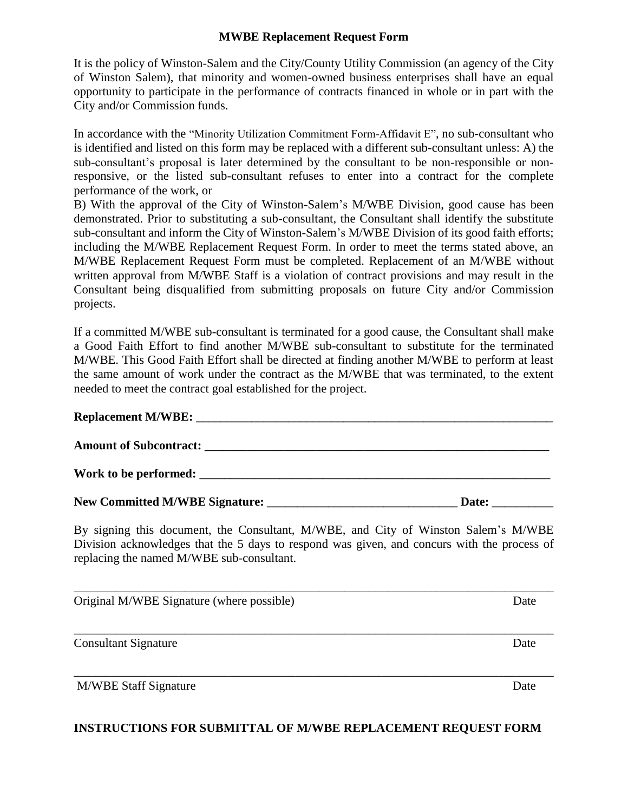## **MWBE Replacement Request Form**

It is the policy of Winston-Salem and the City/County Utility Commission (an agency of the City of Winston Salem), that minority and women-owned business enterprises shall have an equal opportunity to participate in the performance of contracts financed in whole or in part with the City and/or Commission funds.

In accordance with the "Minority Utilization Commitment Form-Affidavit E", no sub-consultant who is identified and listed on this form may be replaced with a different sub-consultant unless: A) the sub-consultant's proposal is later determined by the consultant to be non-responsible or nonresponsive, or the listed sub-consultant refuses to enter into a contract for the complete performance of the work, or

B) With the approval of the City of Winston-Salem's M/WBE Division, good cause has been demonstrated. Prior to substituting a sub-consultant, the Consultant shall identify the substitute sub-consultant and inform the City of Winston-Salem's M/WBE Division of its good faith efforts; including the M/WBE Replacement Request Form. In order to meet the terms stated above, an M/WBE Replacement Request Form must be completed. Replacement of an M/WBE without written approval from M/WBE Staff is a violation of contract provisions and may result in the Consultant being disqualified from submitting proposals on future City and/or Commission projects.

If a committed M/WBE sub-consultant is terminated for a good cause, the Consultant shall make a Good Faith Effort to find another M/WBE sub-consultant to substitute for the terminated M/WBE. This Good Faith Effort shall be directed at finding another M/WBE to perform at least the same amount of work under the contract as the M/WBE that was terminated, to the extent needed to meet the contract goal established for the project.

| New Committed M/WBE Signature: | Date: |
|--------------------------------|-------|

By signing this document, the Consultant, M/WBE, and City of Winston Salem's M/WBE Division acknowledges that the 5 days to respond was given, and concurs with the process of replacing the named M/WBE sub-consultant.

| Original M/WBE Signature (where possible) | Date |
|-------------------------------------------|------|
| <b>Consultant Signature</b>               | Date |
| <b>M/WBE Staff Signature</b>              | Date |

## **INSTRUCTIONS FOR SUBMITTAL OF M/WBE REPLACEMENT REQUEST FORM**